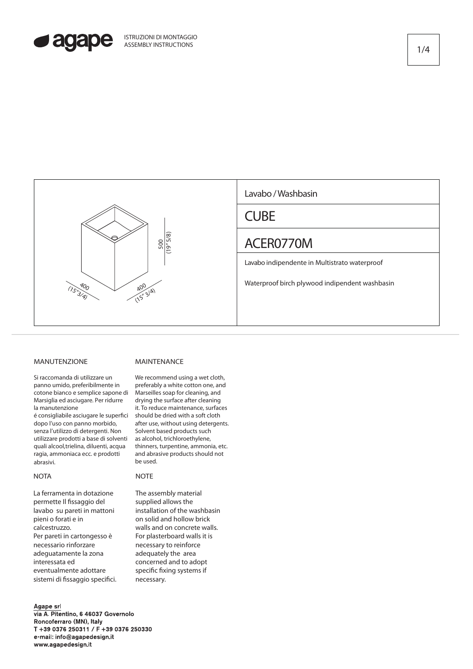



# MANUTENZIONE

Si raccomanda di utilizzare un panno umido, preferibilmente in cotone bianco e semplice sapone di Marsiglia ed asciugare. Per ridurre la manutenzione

é consigliabile asciugare le superfici dopo l'uso con panno morbido, senza l'utilizzo di detergenti. Non utilizzare prodotti a base di solventi quali alcool,trielina, diluenti, acqua ragia, ammoniaca ecc. e prodotti abrasivi.

### **NOTA**

La ferramenta in dotazione permette Il fissaggio del lavabo su pareti in mattoni pieni o forati e in calcestruzzo. Per pareti in cartongesso è necessario rinforzare adeguatamente la zona interessata ed eventualmente adottare sistemi di fissaggio specifici.

#### Agape srl

via A. Pitentino, 6 46037 Governolo Roncoferraro (MN), Italy T +39 0376 250311 / F +39 0376 250330 e-mail: info@agapedesign.it www.agapedesign.it

# MAINTENANCE

We recommend using a wet cloth, preferably a white cotton one, and Marseilles soap for cleaning, and drying the surface after cleaning it. To reduce maintenance, surfaces should be dried with a soft cloth after use, without using detergents. Solvent based products such as alcohol, trichloroethylene, thinners, turpentine, ammonia, etc. and abrasive products should not be used.

# **NOTE**

The assembly material supplied allows the installation of the washbasin on solid and hollow brick walls and on concrete walls. For plasterboard walls it is necessary to reinforce adequately the area concerned and to adopt specific fixing systems if necessary.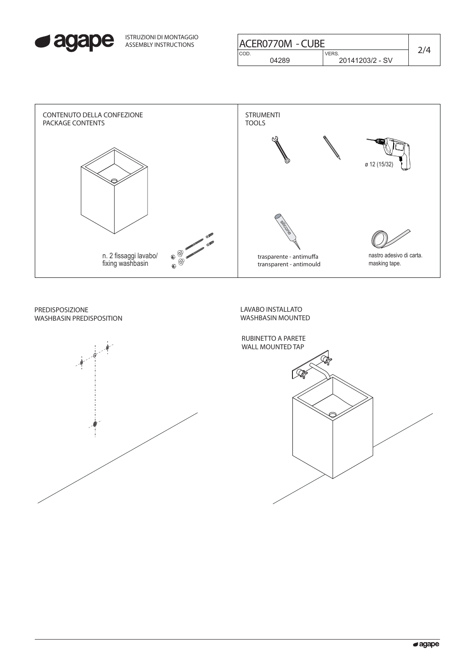

| ISTRUZIONI DI MONTAGGIO<br><b>ASSEMBLY INSTRUCTIONS</b> | <b>ACER0770M - CUBE</b>  |                                |  |
|---------------------------------------------------------|--------------------------|--------------------------------|--|
|                                                         | CO <sub>D</sub><br>04289 | <b>VERS</b><br>20141203/2 - SV |  |
|                                                         |                          |                                |  |



PREDISPOSIZIONE WASHBASIN PREDISPOSITION



LAVABO INSTALLATO WASHBASIN MOUNTED

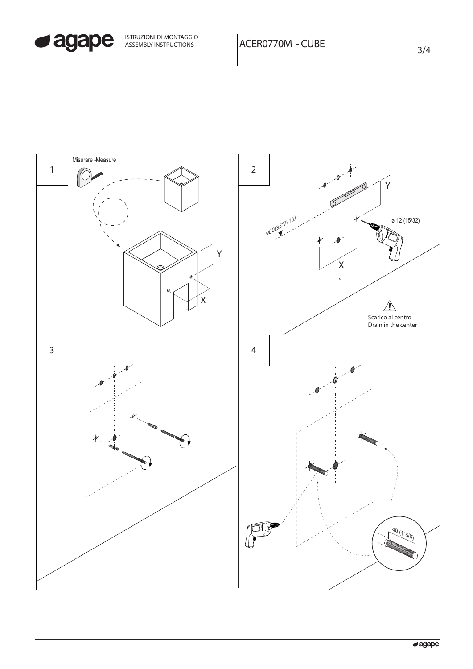